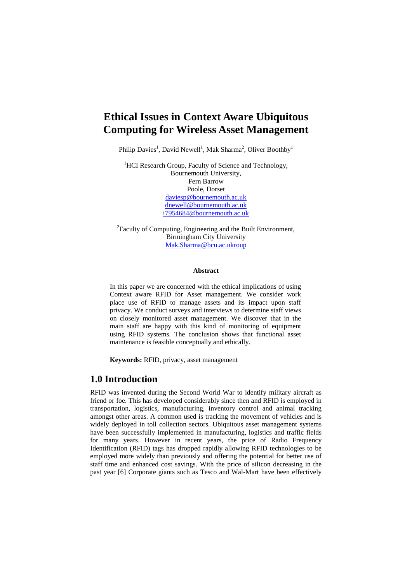# **Ethical Issues in Context Aware Ubiquitous Computing for Wireless Asset Management**

Philip Davies<sup>1</sup>, David Newell<sup>1</sup>, Mak Sharma<sup>2</sup>, Oliver Boothby<sup>1</sup>

<sup>1</sup>HCI Research Group, Faculty of Science and Technology, Bournemouth University, Fern Barrow Poole, Dorset [daviesp@bournemouth.ac.uk](mailto:daviesp@bournemouth.ac.uk) [dnewell@bournemouth.ac.uk](mailto:dnewell@bournemouth.ac.uk) [i7954684@bournemouth.ac.uk](mailto:i7954684@bournemouth.ac.uk)

<sup>2</sup>Faculty of Computing, Engineering and the Built Environment, Birmingham City University [Mak.Sharma@bcu.ac.ukroup](mailto:Mak.Sharma@bcu.ac.ukroup)

#### **Abstract**

In this paper we are concerned with the ethical implications of using Context aware RFID for Asset management. We consider work place use of RFID to manage assets and its impact upon staff privacy. We conduct surveys and interviews to determine staff views on closely monitored asset management. We discover that in the main staff are happy with this kind of monitoring of equipment using RFID systems. The conclusion shows that functional asset maintenance is feasible conceptually and ethically.

**Keywords:** RFID, privacy, asset management

#### **1.0 Introduction**

RFID was invented during the Second World War to identify military aircraft as friend or foe. This has developed considerably since then and RFID is employed in transportation, logistics, manufacturing, inventory control and animal tracking amongst other areas. A common used is tracking the movement of vehicles and is widely deployed in toll collection sectors. Ubiquitous asset management systems have been successfully implemented in manufacturing, logistics and traffic fields for many years. However in recent years, the price of Radio Frequency Identification (RFID) tags has dropped rapidly allowing RFID technologies to be employed more widely than previously and offering the potential for better use of staff time and enhanced cost savings. With the price of silicon decreasing in the past year [6] Corporate giants such as Tesco and Wal-Mart have been effectively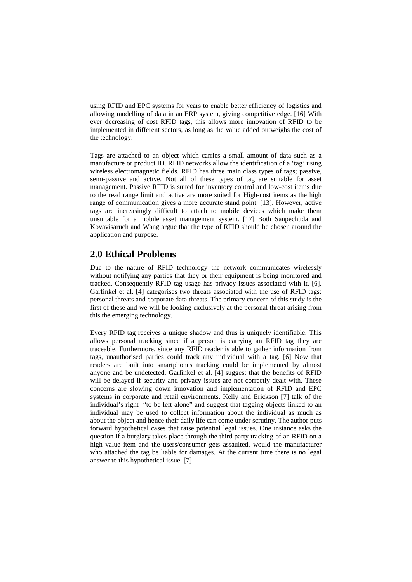using RFID and EPC systems for years to enable better efficiency of logistics and allowing modelling of data in an ERP system, giving competitive edge. [16] With ever decreasing of cost RFID tags, this allows more innovation of RFID to be implemented in different sectors, as long as the value added outweighs the cost of the technology.

Tags are attached to an object which carries a small amount of data such as a manufacture or product ID. RFID networks allow the identification of a 'tag' using wireless electromagnetic fields. RFID has three main class types of tags; passive, semi-passive and active. Not all of these types of tag are suitable for asset management. Passive RFID is suited for inventory control and low-cost items due to the read range limit and active are more suited for High-cost items as the high range of communication gives a more accurate stand point. [13]. However, active tags are increasingly difficult to attach to mobile devices which make them unsuitable for a mobile asset management system. [17] Both Sanpechuda and Kovavisaruch and Wang argue that the type of RFID should be chosen around the application and purpose.

## **2.0 Ethical Problems**

Due to the nature of RFID technology the network communicates wirelessly without notifying any parties that they or their equipment is being monitored and tracked. Consequently RFID tag usage has privacy issues associated with it. [6]. Garfinkel et al. [4] categorises two threats associated with the use of RFID tags: personal threats and corporate data threats. The primary concern of this study is the first of these and we will be looking exclusively at the personal threat arising from this the emerging technology.

Every RFID tag receives a unique shadow and thus is uniquely identifiable. This allows personal tracking since if a person is carrying an RFID tag they are traceable. Furthermore, since any RFID reader is able to gather information from tags, unauthorised parties could track any individual with a tag. [6] Now that readers are built into smartphones tracking could be implemented by almost anyone and be undetected. Garfinkel et al. [4] suggest that the benefits of RFID will be delayed if security and privacy issues are not correctly dealt with. These concerns are slowing down innovation and implementation of RFID and EPC systems in corporate and retail environments. Kelly and Erickson [7] talk of the individual's right "to be left alone" and suggest that tagging objects linked to an individual may be used to collect information about the individual as much as about the object and hence their daily life can come under scrutiny. The author puts forward hypothetical cases that raise potential legal issues. One instance asks the question if a burglary takes place through the third party tracking of an RFID on a high value item and the users/consumer gets assaulted, would the manufacturer who attached the tag be liable for damages. At the current time there is no legal answer to this hypothetical issue. [7]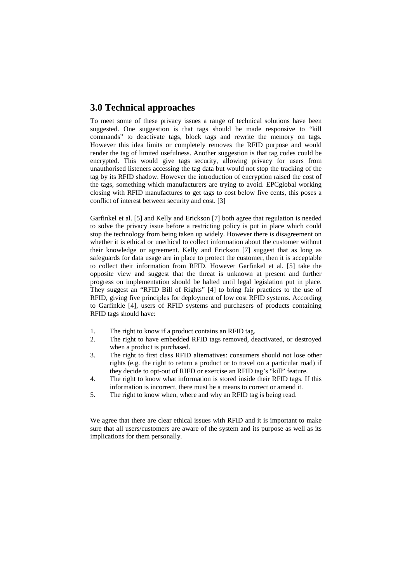### **3.0 Technical approaches**

To meet some of these privacy issues a range of technical solutions have been suggested. One suggestion is that tags should be made responsive to "kill commands" to deactivate tags, block tags and rewrite the memory on tags. However this idea limits or completely removes the RFID purpose and would render the tag of limited usefulness. Another suggestion is that tag codes could be encrypted. This would give tags security, allowing privacy for users from unauthorised listeners accessing the tag data but would not stop the tracking of the tag by its RFID shadow. However the introduction of encryption raised the cost of the tags, something which manufacturers are trying to avoid. EPCglobal working closing with RFID manufactures to get tags to cost below five cents, this poses a conflict of interest between security and cost. [3]

Garfinkel et al. [5] and Kelly and Erickson [7] both agree that regulation is needed to solve the privacy issue before a restricting policy is put in place which could stop the technology from being taken up widely. However there is disagreement on whether it is ethical or unethical to collect information about the customer without their knowledge or agreement. Kelly and Erickson [7] suggest that as long as safeguards for data usage are in place to protect the customer, then it is acceptable to collect their information from RFID. However Garfinkel et al. [5] take the opposite view and suggest that the threat is unknown at present and further progress on implementation should be halted until legal legislation put in place. They suggest an "RFID Bill of Rights" [4] to bring fair practices to the use of RFID, giving five principles for deployment of low cost RFID systems. According to Garfinkle [4], users of RFID systems and purchasers of products containing RFID tags should have:

- 1. The right to know if a product contains an RFID tag.
- 2. The right to have embedded RFID tags removed, deactivated, or destroyed when a product is purchased.
- 3. The right to first class RFID alternatives: consumers should not lose other rights (e.g. the right to return a product or to travel on a particular road) if they decide to opt-out of RIFD or exercise an RFID tag's "kill" feature.
- 4. The right to know what information is stored inside their RFID tags. If this information is incorrect, there must be a means to correct or amend it.
- 5. The right to know when, where and why an RFID tag is being read.

We agree that there are clear ethical issues with RFID and it is important to make sure that all users/customers are aware of the system and its purpose as well as its implications for them personally.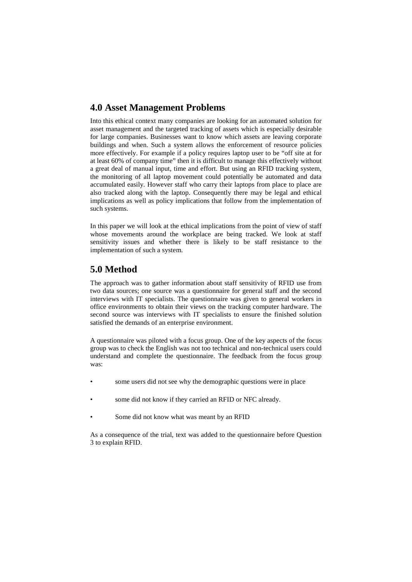### **4.0 Asset Management Problems**

Into this ethical context many companies are looking for an automated solution for asset management and the targeted tracking of assets which is especially desirable for large companies. Businesses want to know which assets are leaving corporate buildings and when. Such a system allows the enforcement of resource policies more effectively. For example if a policy requires laptop user to be "off site at for at least 60% of company time" then it is difficult to manage this effectively without a great deal of manual input, time and effort. But using an RFID tracking system, the monitoring of all laptop movement could potentially be automated and data accumulated easily. However staff who carry their laptops from place to place are also tracked along with the laptop. Consequently there may be legal and ethical implications as well as policy implications that follow from the implementation of such systems.

In this paper we will look at the ethical implications from the point of view of staff whose movements around the workplace are being tracked. We look at staff sensitivity issues and whether there is likely to be staff resistance to the implementation of such a system.

#### **5.0 Method**

The approach was to gather information about staff sensitivity of RFID use from two data sources; one source was a questionnaire for general staff and the second interviews with IT specialists. The questionnaire was given to general workers in office environments to obtain their views on the tracking computer hardware. The second source was interviews with IT specialists to ensure the finished solution satisfied the demands of an enterprise environment.

A questionnaire was piloted with a focus group. One of the key aspects of the focus group was to check the English was not too technical and non-technical users could understand and complete the questionnaire. The feedback from the focus group was:

- some users did not see why the demographic questions were in place
- some did not know if they carried an RFID or NFC already.
- Some did not know what was meant by an RFID

As a consequence of the trial, text was added to the questionnaire before Question 3 to explain RFID.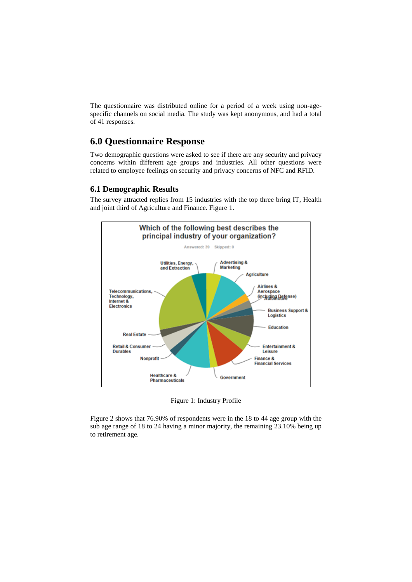The questionnaire was distributed online for a period of a week using non-agespecific channels on social media. The study was kept anonymous, and had a total of 41 responses.

## **6.0 Questionnaire Response**

Two demographic questions were asked to see if there are any security and privacy concerns within different age groups and industries. All other questions were related to employee feelings on security and privacy concerns of NFC and RFID.

#### **6.1 Demographic Results**

The survey attracted replies from 15 industries with the top three bring IT, Health and joint third of Agriculture and Finance. Figure 1.



Figure 1: Industry Profile

Figure 2 shows that 76.90% of respondents were in the 18 to 44 age group with the sub age range of 18 to 24 having a minor majority, the remaining 23.10% being up to retirement age.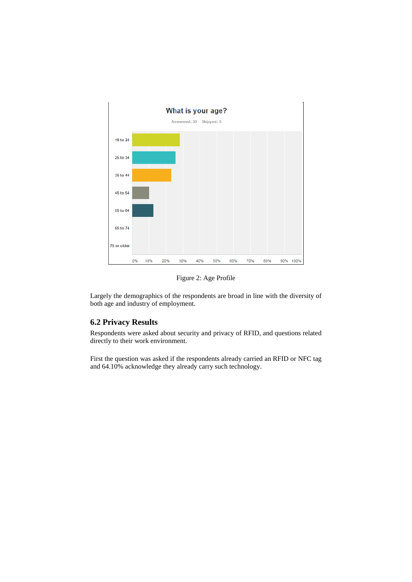

Figure 2: Age Profile

Largely the demographics of the respondents are broad in line with the diversity of both age and industry of employment.

#### **6.2 Privacy Results**

Respondents were asked about security and privacy of RFID, and questions related directly to their work environment.

First the question was asked if the respondents already carried an RFID or NFC tag and 64.10% acknowledge they already carry such technology.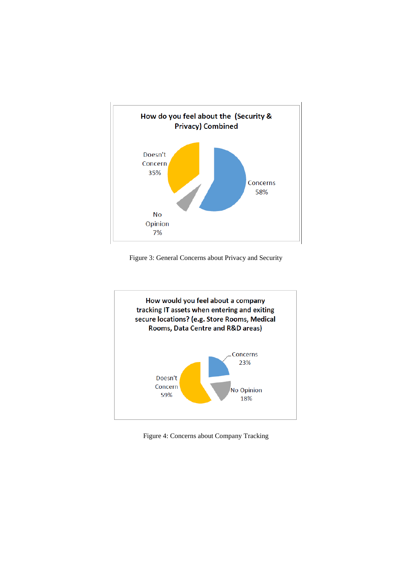

Figure 3: General Concerns about Privacy and Security



Figure 4: Concerns about Company Tracking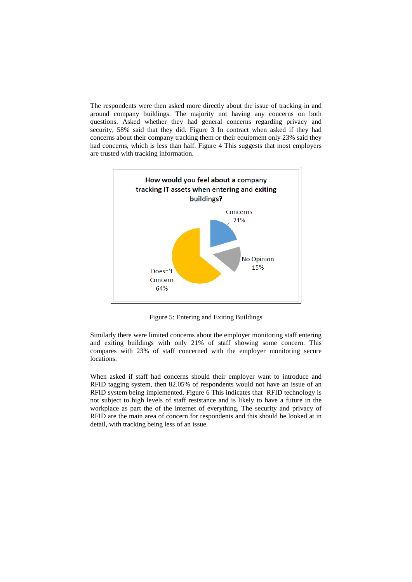The respondents were then asked more directly about the issue of tracking in and around company buildings. The majority not having any concerns on both questions. Asked whether they had general concerns regarding privacy and security, 58% said that they did. Figure 3 In contract when asked if they had concerns about their company tracking them or their equipment only 23% said they had concerns, which is less than half. Figure 4 This suggests that most employers are trusted with tracking information.



Figure 5: Entering and Exiting Buildings

Similarly there were limited concerns about the employer monitoring staff entering and exiting buildings with only 21% of staff showing some concern. This compares with 23% of staff concerned with the employer monitoring secure locations.

When asked if staff had concerns should their employer want to introduce and RFID tagging system, then 82.05% of respondents would not have an issue of an RFID system being implemented. Figure 6 This indicates that RFID technology is not subject to high levels of staff resistance and is likely to have a future in the workplace as part the of the internet of everything. The security and privacy of RFID are the main area of concern for respondents and this should be looked at in detail, with tracking being less of an issue.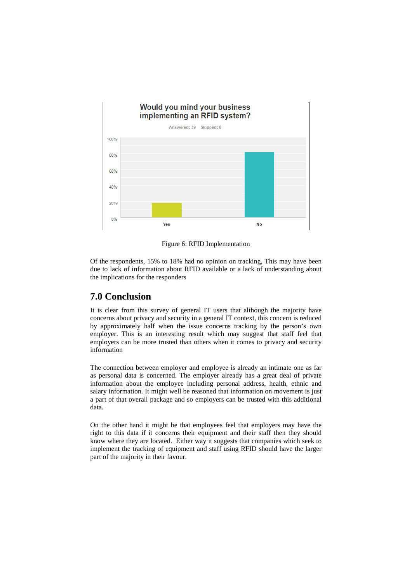

Figure 6: RFID Implementation

Of the respondents, 15% to 18% had no opinion on tracking, This may have been due to lack of information about RFID available or a lack of understanding about the implications for the responders

## **7.0 Conclusion**

It is clear from this survey of general IT users that although the majority have concerns about privacy and security in a general IT context, this concern is reduced by approximately half when the issue concerns tracking by the person's own employer. This is an interesting result which may suggest that staff feel that employers can be more trusted than others when it comes to privacy and security information

The connection between employer and employee is already an intimate one as far as personal data is concerned. The employer already has a great deal of private information about the employee including personal address, health, ethnic and salary information. It might well be reasoned that information on movement is just a part of that overall package and so employers can be trusted with this additional data.

On the other hand it might be that employees feel that employers may have the right to this data if it concerns their equipment and their staff then they should know where they are located. Either way it suggests that companies which seek to implement the tracking of equipment and staff using RFID should have the larger part of the majority in their favour.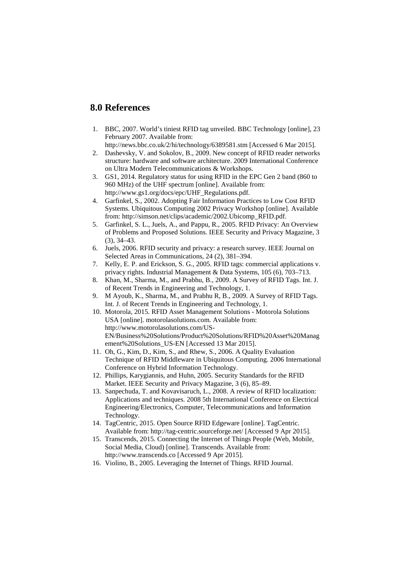#### **8.0 References**

1. BBC, 2007. World's tiniest RFID tag unveiled. BBC Technology [online], 23 February 2007. Available from:

http://news.bbc.co.uk/2/hi/technology/6389581.stm [Accessed 6 Mar 2015].

- 2. Dashevsky, V. and Sokolov, B., 2009. New concept of RFID reader networks structure: hardware and software architecture. 2009 International Conference on Ultra Modern Telecommunications & Workshops.
- 3. GS1, 2014. Regulatory status for using RFID in the EPC Gen 2 band (860 to 960 MHz) of the UHF spectrum [online]. Available from: http://www.gs1.org/docs/epc/UHF\_Regulations.pdf.
- 4. Garfinkel, S., 2002. Adopting Fair Information Practices to Low Cost RFID Systems. Ubiquitous Computing 2002 Privacy Workshop [online]. Available from: http://simson.net/clips/academic/2002.Ubicomp\_RFID.pdf.
- 5. Garfinkel, S. L., Juels, A., and Pappu, R., 2005. RFID Privacy: An Overview of Problems and Proposed Solutions. IEEE Security and Privacy Magazine, 3 (3), 34–43.
- 6. Juels, 2006. RFID security and privacy: a research survey. IEEE Journal on Selected Areas in Communications, 24 (2), 381–394.
- 7. Kelly, E. P. and Erickson, S. G., 2005. RFID tags: commercial applications v. privacy rights. Industrial Management & Data Systems, 105 (6), 703–713.
- 8. Khan, M., Sharma, M., and Prabhu, B., 2009. A Survey of RFID Tags. Int. J. of Recent Trends in Engineering and Technology, 1.
- 9. M Ayoub, K., Sharma, M., and Prabhu R, B., 2009. A Survey of RFID Tags. Int. J. of Recent Trends in Engineering and Technology, 1.
- 10. Motorola, 2015. RFID Asset Management Solutions Motorola Solutions USA [online]. motorolasolutions.com. Available from: http://www.motorolasolutions.com/US-EN/Business%20Solutions/Product%20Solutions/RFID%20Asset%20Manag ement%20Solutions\_US-EN [Accessed 13 Mar 2015].
- 11. Oh, G., Kim, D., Kim, S., and Rhew, S., 2006. A Quality Evaluation Technique of RFID Middleware in Ubiquitous Computing. 2006 International Conference on Hybrid Information Technology.
- 12. Phillips, Karygiannis, and Huhn, 2005. Security Standards for the RFID Market. IEEE Security and Privacy Magazine, 3 (6), 85–89.
- 13. Sanpechuda, T. and Kovavisaruch, L., 2008. A review of RFID localization: Applications and techniques. 2008 5th International Conference on Electrical Engineering/Electronics, Computer, Telecommunications and Information Technology.
- 14. TagCentric, 2015. Open Source RFID Edgeware [online]. TagCentric. Available from: http://tag-centric.sourceforge.net/ [Accessed 9 Apr 2015].
- 15. Transcends, 2015. Connecting the Internet of Things People (Web, Mobile, Social Media, Cloud) [online]. Transcends. Available from: http://www.transcends.co [Accessed 9 Apr 2015].
- 16. Violino, B., 2005. Leveraging the Internet of Things. RFID Journal.